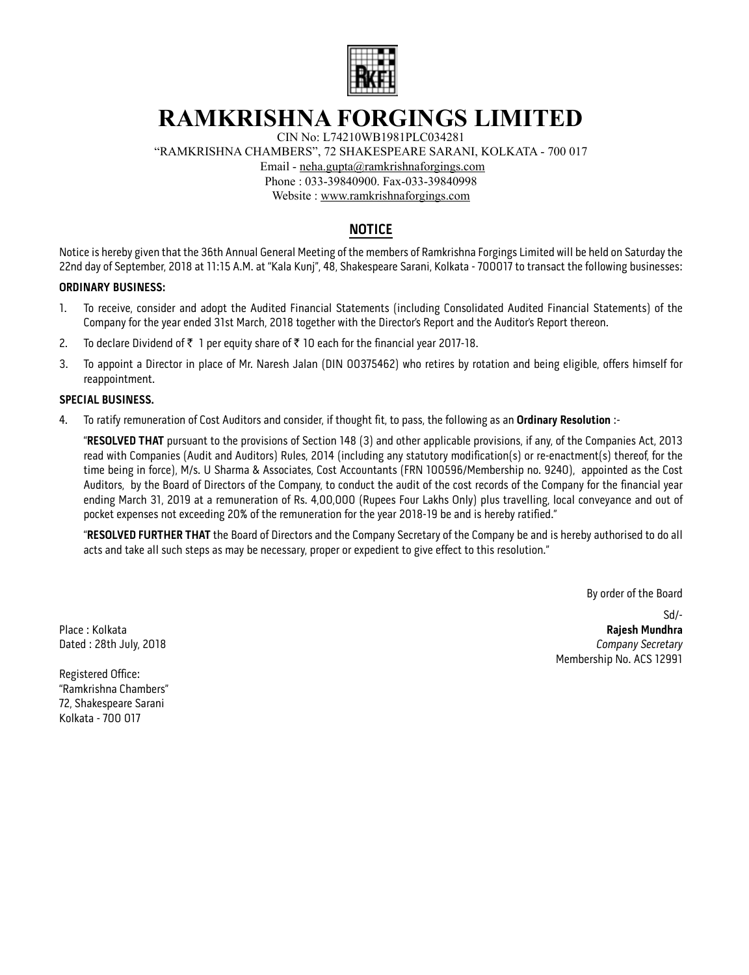

# **RAMKRISHNA FORGINGS LIMITED**

CIN No: L74210WB1981PLC034281

"RAMKRISHNA CHAMBERS", 72 SHAKESPEARE SARANI, KOLKATA - 700 017

Email - neha.gupta@ramkrishnaforgings.com

Phone : 033-39840900. Fax-033-39840998

Website : www.ramkrishnaforgings.com

# **NOTICE**

Notice is hereby given that the 36th Annual General Meeting of the members of Ramkrishna Forgings Limited will be held on Saturday the 22nd day of September, 2018 at 11:15 A.M. at "Kala Kunj", 48, Shakespeare Sarani, Kolkata - 700017 to transact the following businesses:

### **ORDINARY BUSINESS:**

- 1. To receive, consider and adopt the Audited Financial Statements (including Consolidated Audited Financial Statements) of the Company for the year ended 31st March, 2018 together with the Director's Report and the Auditor's Report thereon.
- 2. To declare Dividend of ₹ 1 per equity share of ₹ 10 each for the financial year 2017-18.
- 3. To appoint a Director in place of Mr. Naresh Jalan (DIN 00375462) who retires by rotation and being eligible, offers himself for reappointment.

### **SPECIAL BUSINESS.**

4. To ratify remuneration of Cost Auditors and consider, if thought fit, to pass, the following as an **Ordinary Resolution** :-

"**RESOLVED THAT** pursuant to the provisions of Section 148 (3) and other applicable provisions, if any, of the Companies Act, 2013 read with Companies (Audit and Auditors) Rules, 2014 (including any statutory modification(s) or re-enactment(s) thereof, for the time being in force), M/s. U Sharma & Associates, Cost Accountants (FRN 100596/Membership no. 9240), appointed as the Cost Auditors, by the Board of Directors of the Company, to conduct the audit of the cost records of the Company for the financial year ending March 31, 2019 at a remuneration of Rs. 4,00,000 (Rupees Four Lakhs Only) plus travelling, local conveyance and out of pocket expenses not exceeding 20% of the remuneration for the year 2018-19 be and is hereby ratified."

"**RESOLVED FURTHER THAT** the Board of Directors and the Company Secretary of the Company be and is hereby authorised to do all acts and take all such steps as may be necessary, proper or expedient to give effect to this resolution."

By order of the Board

Sd/- Place : Kolkata **Rajesh Mundhra** Dated : 28th July, 2018 **Company Secretary** Membership No. ACS 12991

Registered Office: "Ramkrishna Chambers" 72, Shakespeare Sarani Kolkata - 700 017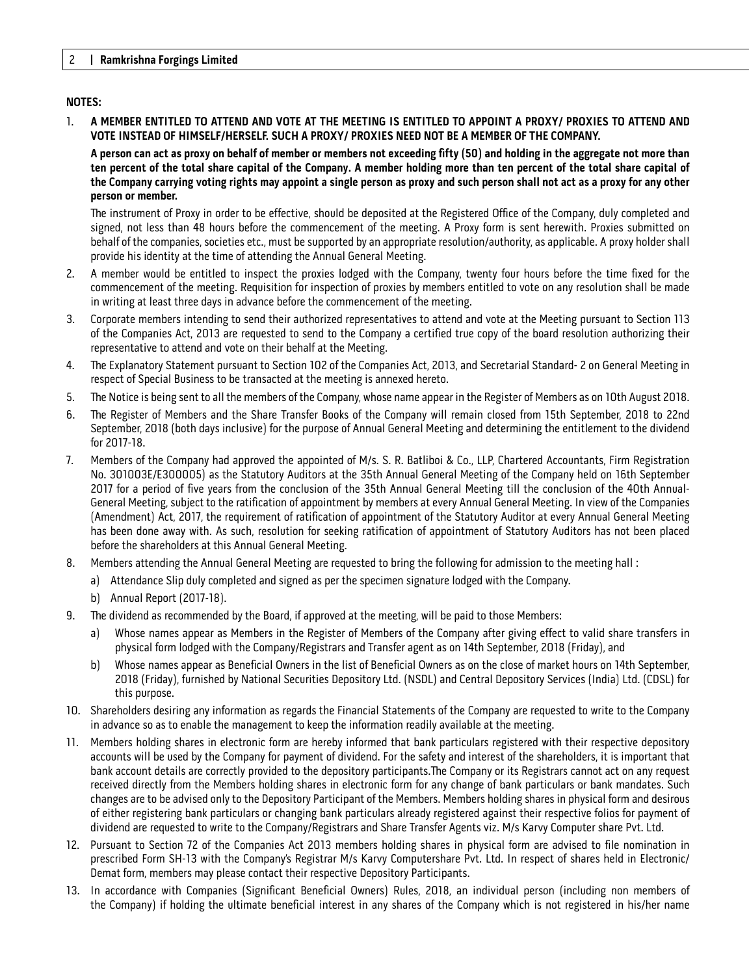### **NOTES:**

1. **A MEMBER ENTITLED TO ATTEND AND VOTE AT THE MEETING IS ENTITLED TO APPOINT A PROXY/ PROXIES TO ATTEND AND VOTE INSTEAD OF HIMSELF/HERSELF. SUCH A PROXY/ PROXIES NEED NOT BE A MEMBER OF THE COMPANY.** 

**A person can act as proxy on behalf of member or members not exceeding fifty (50) and holding in the aggregate not more than ten percent of the total share capital of the Company. A member holding more than ten percent of the total share capital of the Company carrying voting rights may appoint a single person as proxy and such person shall not act as a proxy for any other person or member.**

The instrument of Proxy in order to be effective, should be deposited at the Registered Office of the Company, duly completed and signed, not less than 48 hours before the commencement of the meeting. A Proxy form is sent herewith. Proxies submitted on behalf of the companies, societies etc., must be supported by an appropriate resolution/authority, as applicable. A proxy holder shall provide his identity at the time of attending the Annual General Meeting.

- 2. A member would be entitled to inspect the proxies lodged with the Company, twenty four hours before the time fixed for the commencement of the meeting. Requisition for inspection of proxies by members entitled to vote on any resolution shall be made in writing at least three days in advance before the commencement of the meeting.
- 3. Corporate members intending to send their authorized representatives to attend and vote at the Meeting pursuant to Section 113 of the Companies Act, 2013 are requested to send to the Company a certified true copy of the board resolution authorizing their representative to attend and vote on their behalf at the Meeting.
- 4. The Explanatory Statement pursuant to Section 102 of the Companies Act, 2013, and Secretarial Standard- 2 on General Meeting in respect of Special Business to be transacted at the meeting is annexed hereto.
- 5. The Notice is being sent to all the members of the Company, whose name appear in the Register of Members as on 10th August 2018.
- 6. The Register of Members and the Share Transfer Books of the Company will remain closed from 15th September, 2018 to 22nd September, 2018 (both days inclusive) for the purpose of Annual General Meeting and determining the entitlement to the dividend for 2017-18.
- 7. Members of the Company had approved the appointed of M/s. S. R. Batliboi & Co., LLP, Chartered Accountants, Firm Registration No. 301003E/E300005) as the Statutory Auditors at the 35th Annual General Meeting of the Company held on 16th September 2017 for a period of five years from the conclusion of the 35th Annual General Meeting till the conclusion of the 40th Annual-General Meeting, subject to the ratification of appointment by members at every Annual General Meeting. In view of the Companies (Amendment) Act, 2017, the requirement of ratification of appointment of the Statutory Auditor at every Annual General Meeting has been done away with. As such, resolution for seeking ratification of appointment of Statutory Auditors has not been placed before the shareholders at this Annual General Meeting.
- 8. Members attending the Annual General Meeting are requested to bring the following for admission to the meeting hall :
	- a) Attendance Slip duly completed and signed as per the specimen signature lodged with the Company.
	- b) Annual Report (2017-18).
- 9. The dividend as recommended by the Board, if approved at the meeting, will be paid to those Members:
	- a) Whose names appear as Members in the Register of Members of the Company after giving effect to valid share transfers in physical form lodged with the Company/Registrars and Transfer agent as on 14th September, 2018 (Friday), and
	- b) Whose names appear as Beneficial Owners in the list of Beneficial Owners as on the close of market hours on 14th September, 2018 (Friday), furnished by National Securities Depository Ltd. (NSDL) and Central Depository Services (India) Ltd. (CDSL) for this purpose.
- 10. Shareholders desiring any information as regards the Financial Statements of the Company are requested to write to the Company in advance so as to enable the management to keep the information readily available at the meeting.
- 11. Members holding shares in electronic form are hereby informed that bank particulars registered with their respective depository accounts will be used by the Company for payment of dividend. For the safety and interest of the shareholders, it is important that bank account details are correctly provided to the depository participants.The Company or its Registrars cannot act on any request received directly from the Members holding shares in electronic form for any change of bank particulars or bank mandates. Such changes are to be advised only to the Depository Participant of the Members. Members holding shares in physical form and desirous of either registering bank particulars or changing bank particulars already registered against their respective folios for payment of dividend are requested to write to the Company/Registrars and Share Transfer Agents viz. M/s Karvy Computer share Pvt. Ltd.
- 12. Pursuant to Section 72 of the Companies Act 2013 members holding shares in physical form are advised to file nomination in prescribed Form SH-13 with the Company's Registrar M/s Karvy Computershare Pvt. Ltd. In respect of shares held in Electronic/ Demat form, members may please contact their respective Depository Participants.
- 13. In accordance with Companies (Significant Beneficial Owners) Rules, 2018, an individual person (including non members of the Company) if holding the ultimate beneficial interest in any shares of the Company which is not registered in his/her name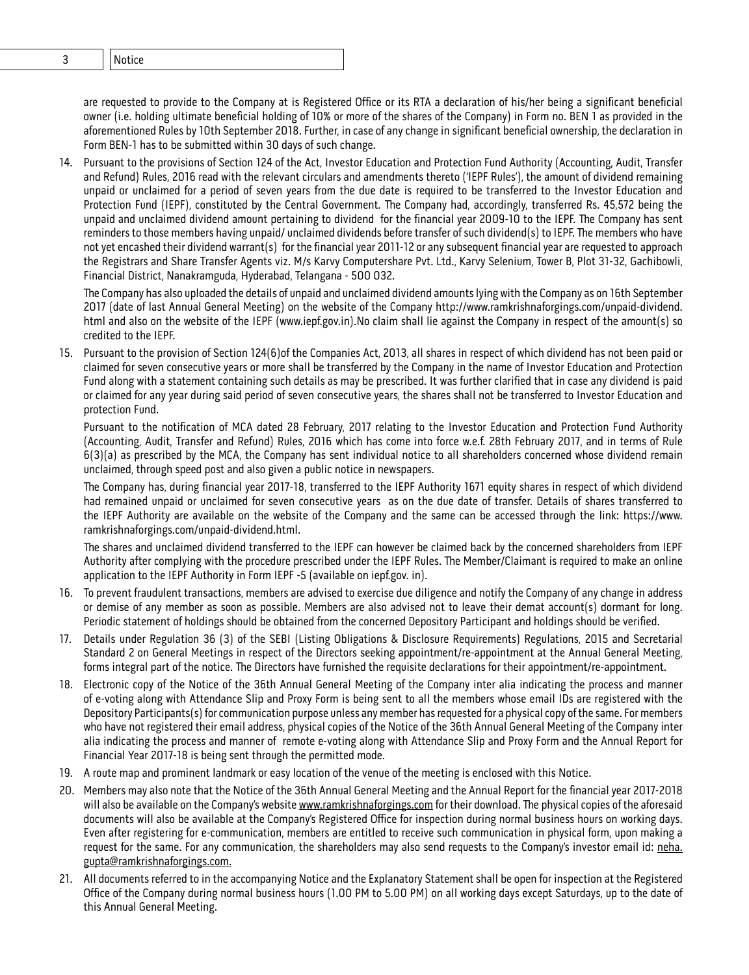## 2 **Ramkrishna Forgings Limited** 3 Notice

are requested to provide to the Company at is Registered Office or its RTA a declaration of his/her being a significant beneficial owner (i.e. holding ultimate beneficial holding of 10% or more of the shares of the Company) in Form no. BEN 1 as provided in the aforementioned Rules by 10th September 2018. Further, in case of any change in significant beneficial ownership, the declaration in Form BEN-1 has to be submitted within 30 days of such change.

14. Pursuant to the provisions of Section 124 of the Act, Investor Education and Protection Fund Authority (Accounting, Audit, Transfer and Refund) Rules, 2016 read with the relevant circulars and amendments thereto ('IEPF Rules'), the amount of dividend remaining unpaid or unclaimed for a period of seven years from the due date is required to be transferred to the Investor Education and Protection Fund (IEPF), constituted by the Central Government. The Company had, accordingly, transferred Rs. 45,572 being the unpaid and unclaimed dividend amount pertaining to dividend for the financial year 2009-10 to the IEPF. The Company has sent reminders to those members having unpaid/ unclaimed dividends before transfer of such dividend(s) to IEPF. The members who have not yet encashed their dividend warrant(s) for the financial year 2011-12 or any subsequent financial year are requested to approach the Registrars and Share Transfer Agents viz. M/s Karvy Computershare Pvt. Ltd., Karvy Selenium, Tower B, Plot 31-32, Gachibowli, Financial District, Nanakramguda, Hyderabad, Telangana - 500 032.

The Company has also uploaded the details of unpaid and unclaimed dividend amounts lying with the Company as on 16th September 2017 (date of last Annual General Meeting) on the website of the Company http://www.ramkrishnaforgings.com/unpaid-dividend. html and also on the website of the IEPF (www.iepf.gov.in).No claim shall lie against the Company in respect of the amount(s) so credited to the IEPF.

15. Pursuant to the provision of Section 124(6)of the Companies Act, 2013, all shares in respect of which dividend has not been paid or claimed for seven consecutive years or more shall be transferred by the Company in the name of Investor Education and Protection Fund along with a statement containing such details as may be prescribed. It was further clarified that in case any dividend is paid or claimed for any year during said period of seven consecutive years, the shares shall not be transferred to Investor Education and protection Fund.

Pursuant to the notification of MCA dated 28 February, 2017 relating to the Investor Education and Protection Fund Authority (Accounting, Audit, Transfer and Refund) Rules, 2016 which has come into force w.e.f. 28th February 2017, and in terms of Rule 6(3)(a) as prescribed by the MCA, the Company has sent individual notice to all shareholders concerned whose dividend remain unclaimed, through speed post and also given a public notice in newspapers.

The Company has, during financial year 2017-18, transferred to the IEPF Authority 1671 equity shares in respect of which dividend had remained unpaid or unclaimed for seven consecutive years as on the due date of transfer. Details of shares transferred to the IEPF Authority are available on the website of the Company and the same can be accessed through the link: https://www. ramkrishnaforgings.com/unpaid-dividend.html.

The shares and unclaimed dividend transferred to the IEPF can however be claimed back by the concerned shareholders from IEPF Authority after complying with the procedure prescribed under the IEPF Rules. The Member/Claimant is required to make an online application to the IEPF Authority in Form IEPF -5 (available on iepf.gov. in).

- 16. To prevent fraudulent transactions, members are advised to exercise due diligence and notify the Company of any change in address or demise of any member as soon as possible. Members are also advised not to leave their demat account(s) dormant for long. Periodic statement of holdings should be obtained from the concerned Depository Participant and holdings should be verified.
- 17. Details under Regulation 36 (3) of the SEBI (Listing Obligations & Disclosure Requirements) Regulations, 2015 and Secretarial Standard 2 on General Meetings in respect of the Directors seeking appointment/re-appointment at the Annual General Meeting, forms integral part of the notice. The Directors have furnished the requisite declarations for their appointment/re-appointment.
- 18. Electronic copy of the Notice of the 36th Annual General Meeting of the Company inter alia indicating the process and manner of e-voting along with Attendance Slip and Proxy Form is being sent to all the members whose email IDs are registered with the Depository Participants(s) for communication purpose unless any member has requested for a physical copy of the same. For members who have not registered their email address, physical copies of the Notice of the 36th Annual General Meeting of the Company inter alia indicating the process and manner of remote e-voting along with Attendance Slip and Proxy Form and the Annual Report for Financial Year 2017-18 is being sent through the permitted mode.
- 19. A route map and prominent landmark or easy location of the venue of the meeting is enclosed with this Notice.
- 20. Members may also note that the Notice of the 36th Annual General Meeting and the Annual Report for the financial year 2017-2018 will also be available on the Company's website www.ramkrishnaforgings.com for their download. The physical copies of the aforesaid documents will also be available at the Company's Registered Office for inspection during normal business hours on working days. Even after registering for e-communication, members are entitled to receive such communication in physical form, upon making a request for the same. For any communication, the shareholders may also send requests to the Company's investor email id: neha. gupta@ramkrishnaforgings.com.
- 21. All documents referred to in the accompanying Notice and the Explanatory Statement shall be open for inspection at the Registered Office of the Company during normal business hours (1.00 PM to 5.00 PM) on all working days except Saturdays, up to the date of this Annual General Meeting.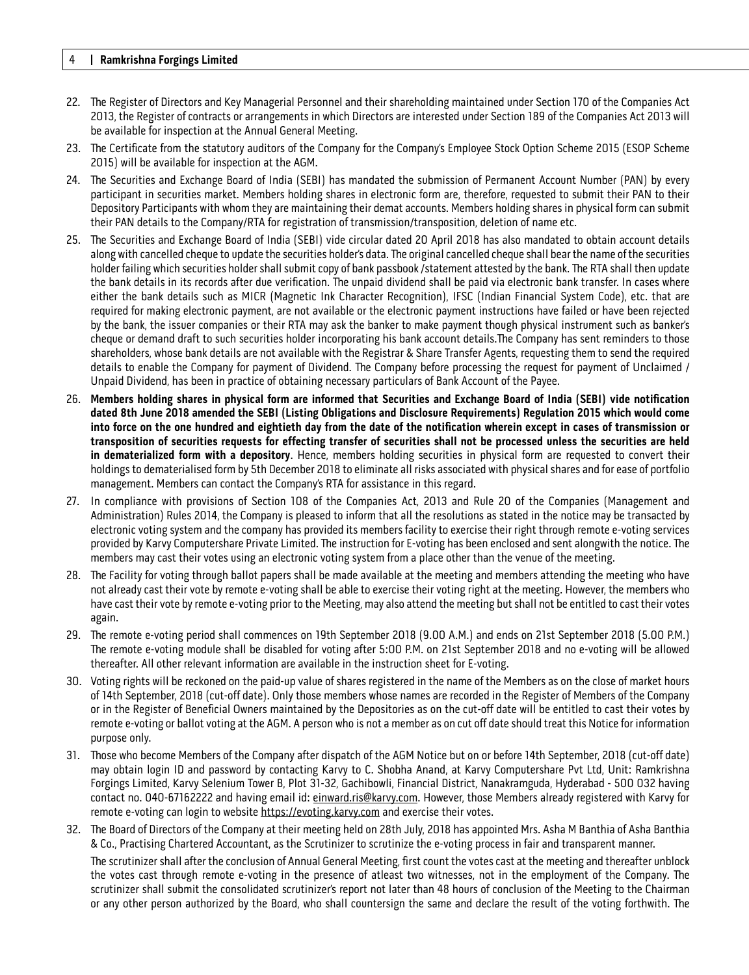#### 4 **Ramkrishna Forgings Limited**

- 22. The Register of Directors and Key Managerial Personnel and their shareholding maintained under Section 170 of the Companies Act 2013, the Register of contracts or arrangements in which Directors are interested under Section 189 of the Companies Act 2013 will be available for inspection at the Annual General Meeting.
- 23. The Certificate from the statutory auditors of the Company for the Company's Employee Stock Option Scheme 2015 (ESOP Scheme 2015) will be available for inspection at the AGM.
- 24. The Securities and Exchange Board of India (SEBI) has mandated the submission of Permanent Account Number (PAN) by every participant in securities market. Members holding shares in electronic form are, therefore, requested to submit their PAN to their Depository Participants with whom they are maintaining their demat accounts. Members holding shares in physical form can submit their PAN details to the Company/RTA for registration of transmission/transposition, deletion of name etc.
- 25. The Securities and Exchange Board of India (SEBI) vide circular dated 20 April 2018 has also mandated to obtain account details along with cancelled cheque to update the securities holder's data. The original cancelled cheque shall bear the name of the securities holder failing which securities holder shall submit copy of bank passbook /statement attested by the bank. The RTA shall then update the bank details in its records after due verification. The unpaid dividend shall be paid via electronic bank transfer. In cases where either the bank details such as MICR (Magnetic Ink Character Recognition), IFSC (Indian Financial System Code), etc. that are required for making electronic payment, are not available or the electronic payment instructions have failed or have been rejected by the bank, the issuer companies or their RTA may ask the banker to make payment though physical instrument such as banker's cheque or demand draft to such securities holder incorporating his bank account details.The Company has sent reminders to those shareholders, whose bank details are not available with the Registrar & Share Transfer Agents, requesting them to send the required details to enable the Company for payment of Dividend. The Company before processing the request for payment of Unclaimed / Unpaid Dividend, has been in practice of obtaining necessary particulars of Bank Account of the Payee.
- 26. **Members holding shares in physical form are informed that Securities and Exchange Board of India (SEBI) vide notification dated 8th June 2018 amended the SEBI (Listing Obligations and Disclosure Requirements) Regulation 2015 which would come into force on the one hundred and eightieth day from the date of the notification wherein except in cases of transmission or transposition of securities requests for effecting transfer of securities shall not be processed unless the securities are held in dematerialized form with a depository**. Hence, members holding securities in physical form are requested to convert their holdings to dematerialised form by 5th December 2018 to eliminate all risks associated with physical shares and for ease of portfolio management. Members can contact the Company's RTA for assistance in this regard.
- 27. In compliance with provisions of Section 108 of the Companies Act, 2013 and Rule 20 of the Companies (Management and Administration) Rules 2014, the Company is pleased to inform that all the resolutions as stated in the notice may be transacted by electronic voting system and the company has provided its members facility to exercise their right through remote e-voting services provided by Karvy Computershare Private Limited. The instruction for E-voting has been enclosed and sent alongwith the notice. The members may cast their votes using an electronic voting system from a place other than the venue of the meeting.
- 28. The Facility for voting through ballot papers shall be made available at the meeting and members attending the meeting who have not already cast their vote by remote e-voting shall be able to exercise their voting right at the meeting. However, the members who have cast their vote by remote e-voting prior to the Meeting, may also attend the meeting but shall not be entitled to cast their votes again.
- 29. The remote e-voting period shall commences on 19th September 2018 (9.00 A.M.) and ends on 21st September 2018 (5.00 P.M.) The remote e-voting module shall be disabled for voting after 5:00 P.M. on 21st September 2018 and no e-voting will be allowed thereafter. All other relevant information are available in the instruction sheet for E-voting.
- 30. Voting rights will be reckoned on the paid-up value of shares registered in the name of the Members as on the close of market hours of 14th September, 2018 (cut-off date). Only those members whose names are recorded in the Register of Members of the Company or in the Register of Beneficial Owners maintained by the Depositories as on the cut-off date will be entitled to cast their votes by remote e-voting or ballot voting at the AGM. A person who is not a member as on cut off date should treat this Notice for information purpose only.
- 31. Those who become Members of the Company after dispatch of the AGM Notice but on or before 14th September, 2018 (cut-off date) may obtain login ID and password by contacting Karvy to C. Shobha Anand, at Karvy Computershare Pvt Ltd, Unit: Ramkrishna Forgings Limited, Karvy Selenium Tower B, Plot 31-32, Gachibowli, Financial District, Nanakramguda, Hyderabad - 500 032 having contact no. 040-67162222 and having email id: einward.ris@karvy.com. However, those Members already registered with Karvy for remote e-voting can login to website https://evoting.karvy.com and exercise their votes.
- 32. The Board of Directors of the Company at their meeting held on 28th July, 2018 has appointed Mrs. Asha M Banthia of Asha Banthia & Co., Practising Chartered Accountant, as the Scrutinizer to scrutinize the e-voting process in fair and transparent manner.

The scrutinizer shall after the conclusion of Annual General Meeting, first count the votes cast at the meeting and thereafter unblock the votes cast through remote e-voting in the presence of atleast two witnesses, not in the employment of the Company. The scrutinizer shall submit the consolidated scrutinizer's report not later than 48 hours of conclusion of the Meeting to the Chairman or any other person authorized by the Board, who shall countersign the same and declare the result of the voting forthwith. The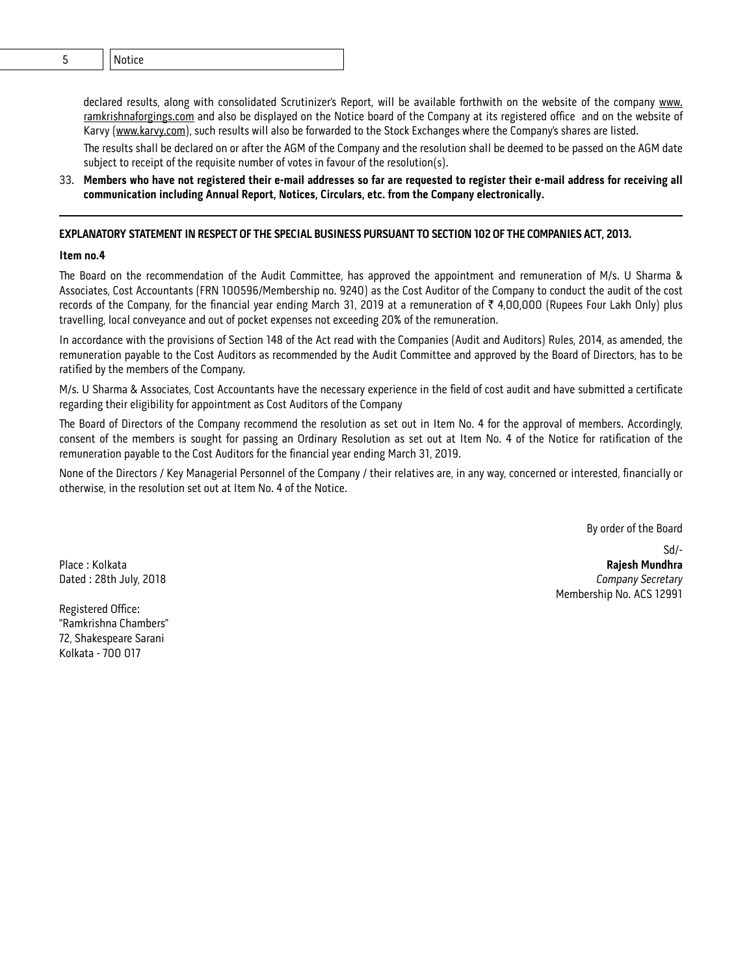declared results, along with consolidated Scrutinizer's Report, will be available forthwith on the website of the company www. ramkrishnaforgings.com and also be displayed on the Notice board of the Company at its registered office and on the website of Karvy (www.karvy.com), such results will also be forwarded to the Stock Exchanges where the Company's shares are listed.

The results shall be declared on or after the AGM of the Company and the resolution shall be deemed to be passed on the AGM date subject to receipt of the requisite number of votes in favour of the resolution(s).

33. **Members who have not registered their e-mail addresses so far are requested to register their e-mail address for receiving all communication including Annual Report, Notices, Circulars, etc. from the Company electronically.**

#### **EXPLANATORY STATEMENT IN RESPECT OF THE SPECIAL BUSINESS PURSUANT TO SECTION 102 OF THE COMPANIES ACT, 2013.**

#### **Item no.4**

The Board on the recommendation of the Audit Committee, has approved the appointment and remuneration of M/s. U Sharma & Associates, Cost Accountants (FRN 100596/Membership no. 9240) as the Cost Auditor of the Company to conduct the audit of the cost records of the Company, for the financial year ending March 31, 2019 at a remuneration of  $\bar{\tau}$  4,00,000 (Rupees Four Lakh Only) plus travelling, local conveyance and out of pocket expenses not exceeding 20% of the remuneration.

In accordance with the provisions of Section 148 of the Act read with the Companies (Audit and Auditors) Rules, 2014, as amended, the remuneration payable to the Cost Auditors as recommended by the Audit Committee and approved by the Board of Directors, has to be ratified by the members of the Company.

M/s. U Sharma & Associates, Cost Accountants have the necessary experience in the field of cost audit and have submitted a certificate regarding their eligibility for appointment as Cost Auditors of the Company

The Board of Directors of the Company recommend the resolution as set out in Item No. 4 for the approval of members. Accordingly, consent of the members is sought for passing an Ordinary Resolution as set out at Item No. 4 of the Notice for ratification of the remuneration payable to the Cost Auditors for the financial year ending March 31, 2019.

None of the Directors / Key Managerial Personnel of the Company / their relatives are, in any way, concerned or interested, financially or otherwise, in the resolution set out at Item No. 4 of the Notice.

By order of the Board

Registered Office: "Ramkrishna Chambers" 72, Shakespeare Sarani Kolkata - 700 017

Sd/- Place : Kolkata **Rajesh Mundhra** Dated : 28th July, 2018 **Company Secretary** Company Secretary Membership No. ACS 12991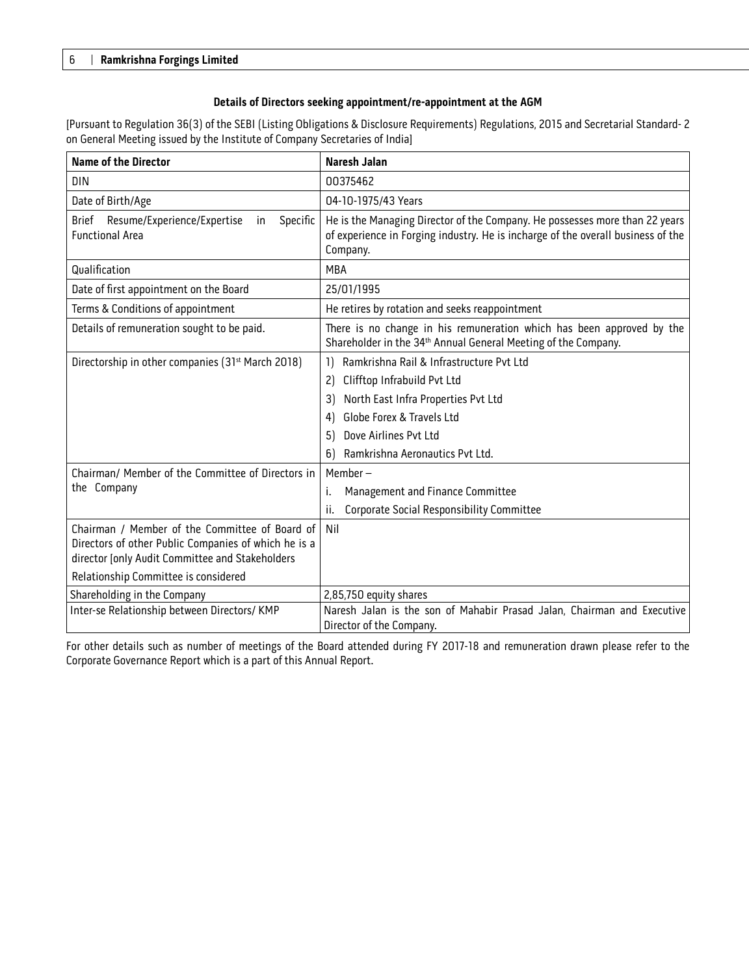#### **Details of Directors seeking appointment/re-appointment at the AGM**

[Pursuant to Regulation 36(3) of the SEBI (Listing Obligations & Disclosure Requirements) Regulations, 2015 and Secretarial Standard- 2 on General Meeting issued by the Institute of Company Secretaries of India]

| <b>Name of the Director</b>                                                             | <b>Naresh Jalan</b>                                                                                                                                                         |  |  |
|-----------------------------------------------------------------------------------------|-----------------------------------------------------------------------------------------------------------------------------------------------------------------------------|--|--|
| <b>DIN</b>                                                                              | 00375462                                                                                                                                                                    |  |  |
| Date of Birth/Age                                                                       | 04-10-1975/43 Years                                                                                                                                                         |  |  |
| <b>Brief</b><br>Resume/Experience/Expertise<br>Specific<br>in<br><b>Functional Area</b> | He is the Managing Director of the Company. He possesses more than 22 years<br>of experience in Forging industry. He is incharge of the overall business of the<br>Company. |  |  |
| Qualification                                                                           | <b>MRA</b>                                                                                                                                                                  |  |  |
| Date of first appointment on the Board                                                  | 25/01/1995                                                                                                                                                                  |  |  |
| Terms & Conditions of appointment                                                       | He retires by rotation and seeks reappointment                                                                                                                              |  |  |
| Details of remuneration sought to be paid.                                              | There is no change in his remuneration which has been approved by the<br>Shareholder in the 34 <sup>th</sup> Annual General Meeting of the Company.                         |  |  |
| Directorship in other companies (31 <sup>st</sup> March 2018)                           | Ramkrishna Rail & Infrastructure Pvt Ltd<br>1)                                                                                                                              |  |  |
|                                                                                         | Clifftop Infrabuild Pvt Ltd<br>2)                                                                                                                                           |  |  |
|                                                                                         | North East Infra Properties Pvt Ltd<br>3)                                                                                                                                   |  |  |
|                                                                                         | Globe Forex & Travels Ltd<br>4)                                                                                                                                             |  |  |
|                                                                                         | Dove Airlines Pvt Ltd<br>5)                                                                                                                                                 |  |  |
|                                                                                         | Ramkrishna Aeronautics Pvt Ltd.<br>6)                                                                                                                                       |  |  |
| Chairman/ Member of the Committee of Directors in                                       | Member-                                                                                                                                                                     |  |  |
| the Company                                                                             | Management and Finance Committee<br>i.                                                                                                                                      |  |  |
|                                                                                         | Corporate Social Responsibility Committee<br>ii.                                                                                                                            |  |  |
| Chairman / Member of the Committee of Board of                                          | Nil                                                                                                                                                                         |  |  |
| Directors of other Public Companies of which he is a                                    |                                                                                                                                                                             |  |  |
| director [only Audit Committee and Stakeholders                                         |                                                                                                                                                                             |  |  |
| Relationship Committee is considered                                                    |                                                                                                                                                                             |  |  |
| Shareholding in the Company                                                             | 2,85,750 equity shares                                                                                                                                                      |  |  |
| Inter-se Relationship between Directors/ KMP                                            | Naresh Jalan is the son of Mahabir Prasad Jalan, Chairman and Executive                                                                                                     |  |  |
|                                                                                         | Director of the Company.                                                                                                                                                    |  |  |

For other details such as number of meetings of the Board attended during FY 2017-18 and remuneration drawn please refer to the Corporate Governance Report which is a part of this Annual Report.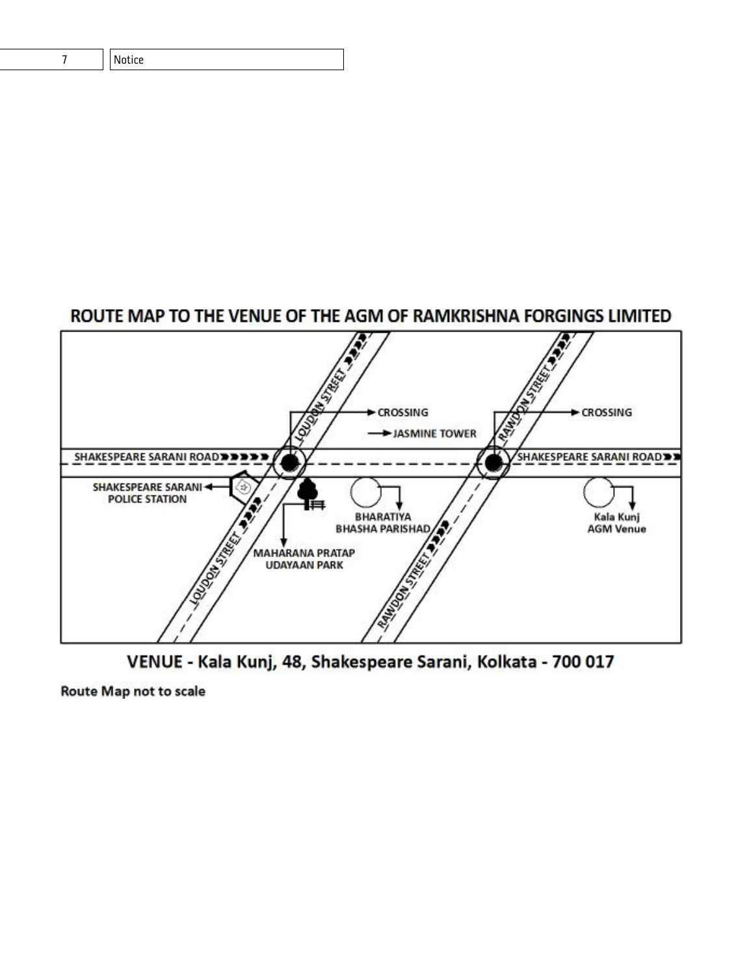| <b>I</b> Notice |
|-----------------|
|                 |

# ROUTE MAP TO THE VENUE OF THE AGM OF RAMKRISHNA FORGINGS LIMITED



VENUE - Kala Kunj, 48, Shakespeare Sarani, Kolkata - 700 017

**Route Map not to scale**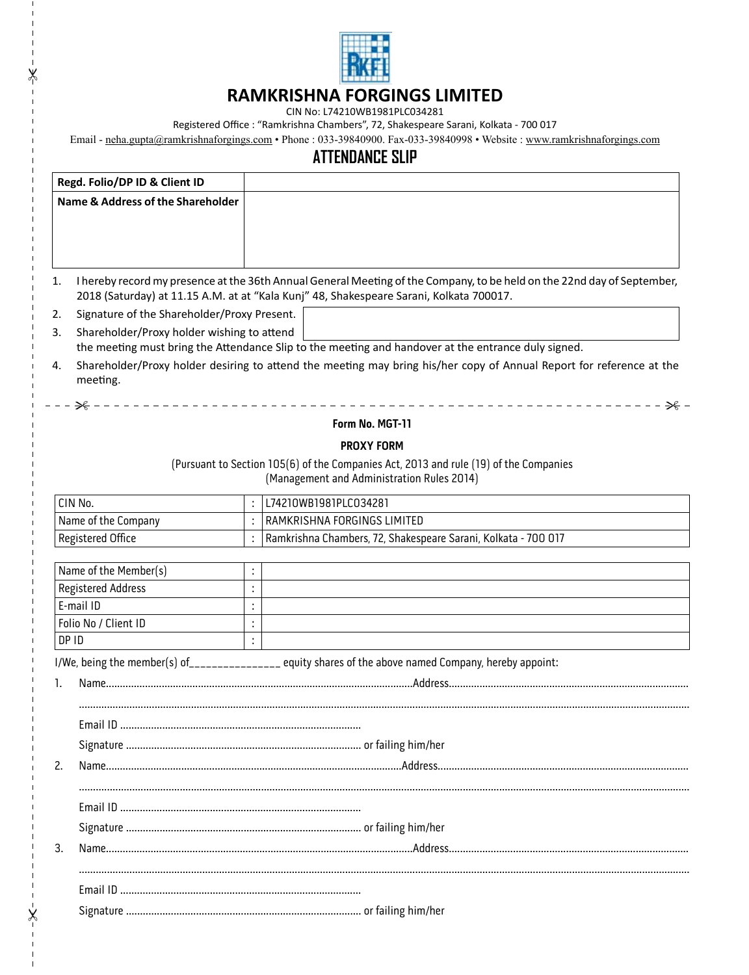

# **RAMKRISHNA FORGINGS LIMITED**

CIN No: L74210WB1981PLC034281

"

 $\pmb{\times}$ 

 $\overline{1}$ 

Registered Office : "Ramkrishna Chambers", 72, Shakespeare Sarani, Kolkata - 700 017

Email - neha.gupta@ramkrishnaforgings.com • Phone : 033-39840900. Fax-033-39840998 • Website : www.ramkrishnaforgings.com

# **ATTENDANCE SLIP**

|                                                                                                                                        | Regd. Folio/DP ID & Client ID                |    |                                                                                                                         |  |  |  |
|----------------------------------------------------------------------------------------------------------------------------------------|----------------------------------------------|----|-------------------------------------------------------------------------------------------------------------------------|--|--|--|
|                                                                                                                                        | <b>Name &amp; Address of the Shareholder</b> |    |                                                                                                                         |  |  |  |
|                                                                                                                                        |                                              |    |                                                                                                                         |  |  |  |
|                                                                                                                                        |                                              |    |                                                                                                                         |  |  |  |
| 1.                                                                                                                                     |                                              |    | I hereby record my presence at the 36th Annual General Meeting of the Company, to be held on the 22nd day of September, |  |  |  |
|                                                                                                                                        |                                              |    | 2018 (Saturday) at 11.15 A.M. at at "Kala Kunj" 48, Shakespeare Sarani, Kolkata 700017.                                 |  |  |  |
| 2.                                                                                                                                     | Signature of the Shareholder/Proxy Present.  |    |                                                                                                                         |  |  |  |
| 3.                                                                                                                                     | Shareholder/Proxy holder wishing to attend   |    |                                                                                                                         |  |  |  |
|                                                                                                                                        |                                              |    | the meeting must bring the Attendance Slip to the meeting and handover at the entrance duly signed.                     |  |  |  |
| Shareholder/Proxy holder desiring to attend the meeting may bring his/her copy of Annual Report for reference at the<br>4.<br>meeting. |                                              |    |                                                                                                                         |  |  |  |
|                                                                                                                                        | — – ← <del>X</del>                           |    |                                                                                                                         |  |  |  |
|                                                                                                                                        |                                              |    | Form No. MGT-11                                                                                                         |  |  |  |
|                                                                                                                                        |                                              |    | <b>PROXY FORM</b>                                                                                                       |  |  |  |
|                                                                                                                                        |                                              |    | (Pursuant to Section 105(6) of the Companies Act, 2013 and rule (19) of the Companies                                   |  |  |  |
|                                                                                                                                        |                                              |    | (Management and Administration Rules 2014)                                                                              |  |  |  |
|                                                                                                                                        | CIN No.                                      |    | L74210WB1981PLC034281                                                                                                   |  |  |  |
| Name of the Company                                                                                                                    |                                              |    | RAMKRISHNA FORGINGS LIMITED                                                                                             |  |  |  |
|                                                                                                                                        | Registered Office                            |    | Ramkrishna Chambers, 72, Shakespeare Sarani, Kolkata - 700 017                                                          |  |  |  |
|                                                                                                                                        | Name of the Member(s)                        | ÷  |                                                                                                                         |  |  |  |
|                                                                                                                                        | Registered Address                           | ÷  |                                                                                                                         |  |  |  |
|                                                                                                                                        | E-mail ID                                    | ÷  |                                                                                                                         |  |  |  |
| Folio No / Client ID                                                                                                                   |                                              | ł, |                                                                                                                         |  |  |  |
| DP ID                                                                                                                                  |                                              | ÷  |                                                                                                                         |  |  |  |
|                                                                                                                                        |                                              |    | I/We, being the member(s) of_______________ equity shares of the above named Company, hereby appoint:                   |  |  |  |
| 1.                                                                                                                                     |                                              |    |                                                                                                                         |  |  |  |
|                                                                                                                                        |                                              |    |                                                                                                                         |  |  |  |
|                                                                                                                                        |                                              |    |                                                                                                                         |  |  |  |
|                                                                                                                                        |                                              |    |                                                                                                                         |  |  |  |
| 2.                                                                                                                                     |                                              |    |                                                                                                                         |  |  |  |
|                                                                                                                                        |                                              |    |                                                                                                                         |  |  |  |
|                                                                                                                                        |                                              |    |                                                                                                                         |  |  |  |
|                                                                                                                                        |                                              |    |                                                                                                                         |  |  |  |
|                                                                                                                                        |                                              |    |                                                                                                                         |  |  |  |
| 3.                                                                                                                                     |                                              |    |                                                                                                                         |  |  |  |
|                                                                                                                                        |                                              |    |                                                                                                                         |  |  |  |
|                                                                                                                                        |                                              |    |                                                                                                                         |  |  |  |
|                                                                                                                                        |                                              |    |                                                                                                                         |  |  |  |